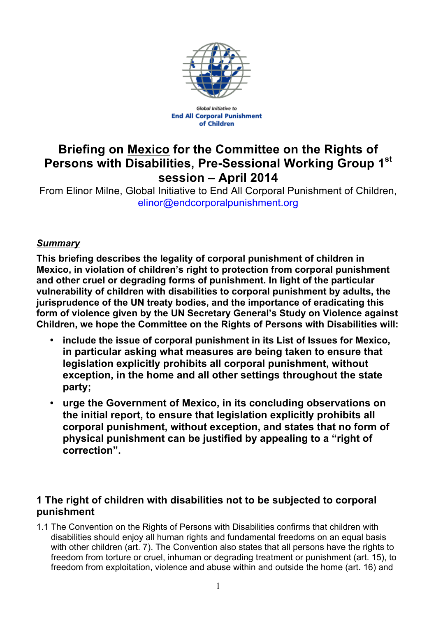

**Global Initiative to End All Corporal Punishment** of Children

# **Briefing on Mexico for the Committee on the Rights of Persons with Disabilities, Pre-Sessional Working Group 1st session – April 2014**

From Elinor Milne, Global Initiative to End All Corporal Punishment of Children, elinor@endcorporalpunishment.org

### *Summary*

**This briefing describes the legality of corporal punishment of children in Mexico, in violation of children's right to protection from corporal punishment and other cruel or degrading forms of punishment. In light of the particular vulnerability of children with disabilities to corporal punishment by adults, the jurisprudence of the UN treaty bodies, and the importance of eradicating this form of violence given by the UN Secretary General's Study on Violence against Children, we hope the Committee on the Rights of Persons with Disabilities will:**

- **include the issue of corporal punishment in its List of Issues for Mexico, in particular asking what measures are being taken to ensure that legislation explicitly prohibits all corporal punishment, without exception, in the home and all other settings throughout the state party;**
- **urge the Government of Mexico, in its concluding observations on the initial report, to ensure that legislation explicitly prohibits all corporal punishment, without exception, and states that no form of physical punishment can be justified by appealing to a "right of correction".**

## **1 The right of children with disabilities not to be subjected to corporal punishment**

1.1 The Convention on the Rights of Persons with Disabilities confirms that children with disabilities should enjoy all human rights and fundamental freedoms on an equal basis with other children (art. 7). The Convention also states that all persons have the rights to freedom from torture or cruel, inhuman or degrading treatment or punishment (art. 15), to freedom from exploitation, violence and abuse within and outside the home (art. 16) and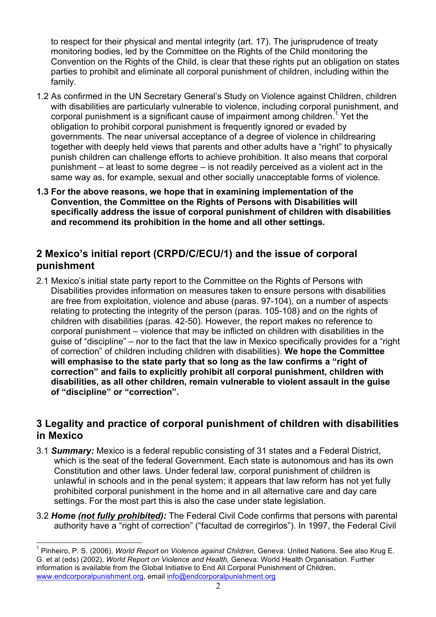to respect for their physical and mental integrity (art. 17). The jurisprudence of treaty monitoring bodies, led by the Committee on the Rights of the Child monitoring the Convention on the Rights of the Child, is clear that these rights put an obligation on states parties to prohibit and eliminate all corporal punishment of children, including within the family.

- 1.2 As confirmed in the UN Secretary General's Study on Violence against Children, children with disabilities are particularly vulnerable to violence, including corporal punishment, and corporal punishment is a significant cause of impairment among children.<sup>1</sup> Yet the obligation to prohibit corporal punishment is frequently ignored or evaded by governments. The near universal acceptance of a degree of violence in childrearing together with deeply held views that parents and other adults have a "right" to physically punish children can challenge efforts to achieve prohibition. It also means that corporal punishment – at least to some degree – is not readily perceived as a violent act in the same way as, for example, sexual and other socially unacceptable forms of violence.
- **1.3 For the above reasons, we hope that in examining implementation of the Convention, the Committee on the Rights of Persons with Disabilities will specifically address the issue of corporal punishment of children with disabilities and recommend its prohibition in the home and all other settings.**

### **2 Mexico's initial report (CRPD/C/ECU/1) and the issue of corporal punishment**

2.1 Mexico's initial state party report to the Committee on the Rights of Persons with Disabilities provides information on measures taken to ensure persons with disabilities are free from exploitation, violence and abuse (paras. 97-104), on a number of aspects relating to protecting the integrity of the person (paras. 105-108) and on the rights of children with disabilities (paras. 42-50). However, the report makes no reference to corporal punishment – violence that may be inflicted on children with disabilities in the guise of "discipline" – nor to the fact that the law in Mexico specifically provides for a "right of correction" of children including children with disabilities). **We hope the Committee will emphasise to the state party that so long as the law confirms a "right of correction" and fails to explicitly prohibit all corporal punishment, children with disabilities, as all other children, remain vulnerable to violent assault in the guise of "discipline" or "correction".**

#### **3 Legality and practice of corporal punishment of children with disabilities in Mexico**

- 3.1 *Summary:* Mexico is a federal republic consisting of 31 states and a Federal District, which is the seat of the federal Government. Each state is autonomous and has its own Constitution and other laws. Under federal law, corporal punishment of children is unlawful in schools and in the penal system; it appears that law reform has not yet fully prohibited corporal punishment in the home and in all alternative care and day care settings. For the most part this is also the case under state legislation.
- 3.2 *Home (not fully prohibited):* The Federal Civil Code confirms that persons with parental authority have a "right of correction" ("facultad de corregirlos"). In 1997, the Federal Civil

<sup>1</sup> Pinheiro, P. S. (2006), *World Report on Violence against Children*, Geneva: United Nations. See also Krug E. G. et al (eds) (2002), *World Report on Violence and Health,* Geneva: World Health Organisation. Further information is available from the Global Initiative to End All Corporal Punishment of Children, www.endcorporalpunishment.org, email info@endcorporalpunishment.org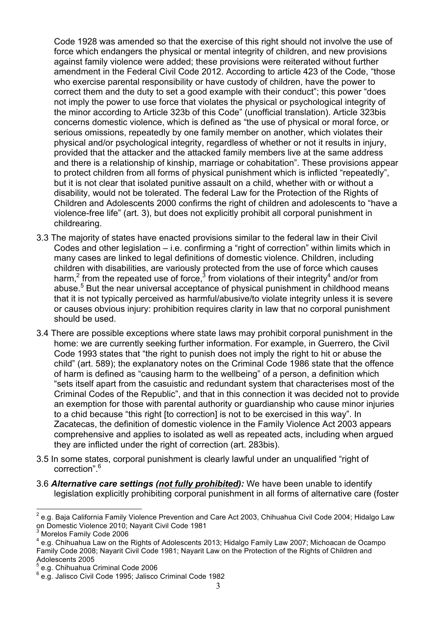Code 1928 was amended so that the exercise of this right should not involve the use of force which endangers the physical or mental integrity of children, and new provisions against family violence were added; these provisions were reiterated without further amendment in the Federal Civil Code 2012. According to article 423 of the Code, "those who exercise parental responsibility or have custody of children, have the power to correct them and the duty to set a good example with their conduct"; this power "does not imply the power to use force that violates the physical or psychological integrity of the minor according to Article 323b of this Code" (unofficial translation). Article 323bis concerns domestic violence, which is defined as "the use of physical or moral force, or serious omissions, repeatedly by one family member on another, which violates their physical and/or psychological integrity, regardless of whether or not it results in injury, provided that the attacker and the attacked family members live at the same address and there is a relationship of kinship, marriage or cohabitation". These provisions appear to protect children from all forms of physical punishment which is inflicted "repeatedly", but it is not clear that isolated punitive assault on a child, whether with or without a disability, would not be tolerated. The federal Law for the Protection of the Rights of Children and Adolescents 2000 confirms the right of children and adolescents to "have a violence-free life" (art. 3), but does not explicitly prohibit all corporal punishment in childrearing.

- 3.3 The majority of states have enacted provisions similar to the federal law in their Civil Codes and other legislation – i.e. confirming a "right of correction" within limits which in many cases are linked to legal definitions of domestic violence. Children, including children with disabilities, are variously protected from the use of force which causes harm,<sup>2</sup> from the repeated use of force,<sup>3</sup> from violations of their integrity<sup>4</sup> and/or from abuse. <sup>5</sup> But the near universal acceptance of physical punishment in childhood means that it is not typically perceived as harmful/abusive/to violate integrity unless it is severe or causes obvious injury: prohibition requires clarity in law that no corporal punishment should be used.
- 3.4 There are possible exceptions where state laws may prohibit corporal punishment in the home: we are currently seeking further information. For example, in Guerrero, the Civil Code 1993 states that "the right to punish does not imply the right to hit or abuse the child" (art. 589); the explanatory notes on the Criminal Code 1986 state that the offence of harm is defined as "causing harm to the wellbeing" of a person, a definition which "sets itself apart from the casuistic and redundant system that characterises most of the Criminal Codes of the Republic", and that in this connection it was decided not to provide an exemption for those with parental authority or guardianship who cause minor injuries to a chid because "this right [to correction] is not to be exercised in this way". In Zacatecas, the definition of domestic violence in the Family Violence Act 2003 appears comprehensive and applies to isolated as well as repeated acts, including when argued they are inflicted under the right of correction (art. 283bis).
- 3.5 In some states, corporal punishment is clearly lawful under an unqualified "right of correction".<sup>6</sup>
- 3.6 *Alternative care settings (not fully prohibited):* We have been unable to identify legislation explicitly prohibiting corporal punishment in all forms of alternative care (foster

 $2$  e.g. Baja California Family Violence Prevention and Care Act 2003, Chihuahua Civil Code 2004; Hidalgo Law on Domestic Violence 2010; Nayarit Civil Code 1981

<sup>3</sup> Morelos Family Code 2006

<sup>4</sup> e.g. Chihuahua Law on the Rights of Adolescents 2013; Hidalgo Family Law 2007; Michoacan de Ocampo Family Code 2008; Nayarit Civil Code 1981; Nayarit Law on the Protection of the Rights of Children and Adolescents 2005

<sup>5</sup> e.g. Chihuahua Criminal Code 2006

<sup>6</sup> e.g. Jalisco Civil Code 1995; Jalisco Criminal Code 1982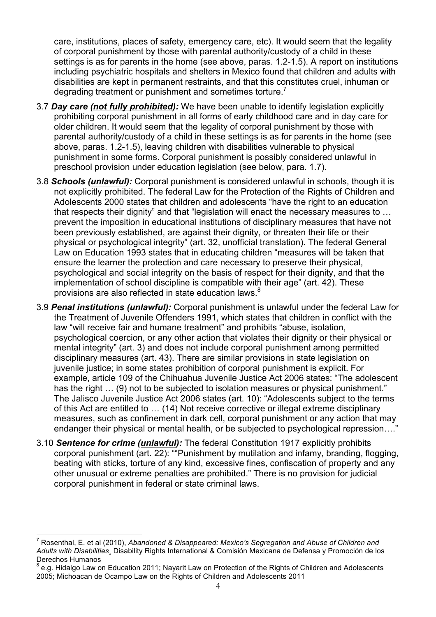care, institutions, places of safety, emergency care, etc). It would seem that the legality of corporal punishment by those with parental authority/custody of a child in these settings is as for parents in the home (see above, paras. 1.2-1.5). A report on institutions including psychiatric hospitals and shelters in Mexico found that children and adults with disabilities are kept in permanent restraints, and that this constitutes cruel, inhuman or degrading treatment or punishment and sometimes torture.<sup>7</sup>

- 3.7 *Day care (not fully prohibited):* We have been unable to identify legislation explicitly prohibiting corporal punishment in all forms of early childhood care and in day care for older children. It would seem that the legality of corporal punishment by those with parental authority/custody of a child in these settings is as for parents in the home (see above, paras. 1.2-1.5), leaving children with disabilities vulnerable to physical punishment in some forms. Corporal punishment is possibly considered unlawful in preschool provision under education legislation (see below, para. 1.7).
- 3.8 *Schools (unlawful):* Corporal punishment is considered unlawful in schools, though it is not explicitly prohibited. The federal Law for the Protection of the Rights of Children and Adolescents 2000 states that children and adolescents "have the right to an education that respects their dignity" and that "legislation will enact the necessary measures to … prevent the imposition in educational institutions of disciplinary measures that have not been previously established, are against their dignity, or threaten their life or their physical or psychological integrity" (art. 32, unofficial translation). The federal General Law on Education 1993 states that in educating children "measures will be taken that ensure the learner the protection and care necessary to preserve their physical, psychological and social integrity on the basis of respect for their dignity, and that the implementation of school discipline is compatible with their age" (art. 42). These provisions are also reflected in state education laws.<sup>8</sup>
- 3.9 *Penal institutions (unlawful):* Corporal punishment is unlawful under the federal Law for the Treatment of Juvenile Offenders 1991, which states that children in conflict with the law "will receive fair and humane treatment" and prohibits "abuse, isolation, psychological coercion, or any other action that violates their dignity or their physical or mental integrity" (art. 3) and does not include corporal punishment among permitted disciplinary measures (art. 43). There are similar provisions in state legislation on juvenile justice; in some states prohibition of corporal punishment is explicit. For example, article 109 of the Chihuahua Juvenile Justice Act 2006 states: "The adolescent has the right ... (9) not to be subjected to isolation measures or physical punishment." The Jalisco Juvenile Justice Act 2006 states (art. 10): "Adolescents subject to the terms of this Act are entitled to … (14) Not receive corrective or illegal extreme disciplinary measures, such as confinement in dark cell, corporal punishment or any action that may endanger their physical or mental health, or be subjected to psychological repression…."
- 3.10 *Sentence for crime (unlawful):* The federal Constitution 1917 explicitly prohibits corporal punishment (art. 22): ""Punishment by mutilation and infamy, branding, flogging, beating with sticks, torture of any kind, excessive fines, confiscation of property and any other unusual or extreme penalties are prohibited." There is no provision for judicial corporal punishment in federal or state criminal laws.

<sup>7</sup> Rosenthal, E. et al (2010), *Abandoned & Disappeared: Mexico's Segregation and Abuse of Children and Adults with Disabilities¸* Disability Rights International & Comisión Mexicana de Defensa y Promoción de los Derechos Humanos

e.g. Hidalgo Law on Education 2011; Nayarit Law on Protection of the Rights of Children and Adolescents 2005; Michoacan de Ocampo Law on the Rights of Children and Adolescents 2011